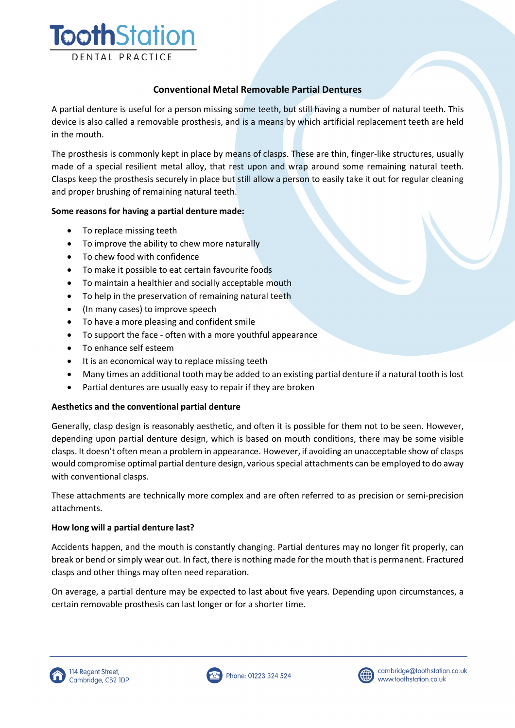

# **Conventional Metal Removable Partial Dentures**

A partial denture is useful for a person missing some teeth, but still having a number of natural teeth. This device is also called a removable prosthesis, and is a means by which artificial replacement teeth are held in the mouth.

The prosthesis is commonly kept in place by means of clasps. These are thin, finger-like structures, usually made of a special resilient metal alloy, that rest upon and wrap around some remaining natural teeth. Clasps keep the prosthesis securely in place but still allow a person to easily take it out for regular cleaning and proper brushing of remaining natural teeth.

### **Some reasons for having a partial denture made:**

- To replace missing teeth
- To improve the ability to chew more naturally
- To chew food with confidence
- To make it possible to eat certain favourite foods
- To maintain a healthier and socially acceptable mouth
- To help in the preservation of remaining natural teeth
- (In many cases) to improve speech
- To have a more pleasing and confident smile
- To support the face often with a more youthful appearance
- To enhance self esteem
- It is an economical way to replace missing teeth
- Many times an additional tooth may be added to an existing partial denture if a natural tooth is lost
- Partial dentures are usually easy to repair if they are broken

## **Aesthetics and the conventional partial denture**

Generally, clasp design is reasonably aesthetic, and often it is possible for them not to be seen. However, depending upon partial denture design, which is based on mouth conditions, there may be some visible clasps. It doesn't often mean a problem in appearance. However, if avoiding an unacceptable show of clasps would compromise optimal partial denture design, various special attachments can be employed to do away with conventional clasps.

These attachments are technically more complex and are often referred to as precision or semi-precision attachments.

## **How long will a partial denture last?**

Accidents happen, and the mouth is constantly changing. Partial dentures may no longer fit properly, can break or bend or simply wear out. In fact, there is nothing made for the mouth that is permanent. Fractured clasps and other things may often need reparation.

On average, a partial denture may be expected to last about five years. Depending upon circumstances, a certain removable prosthesis can last longer or for a shorter time.